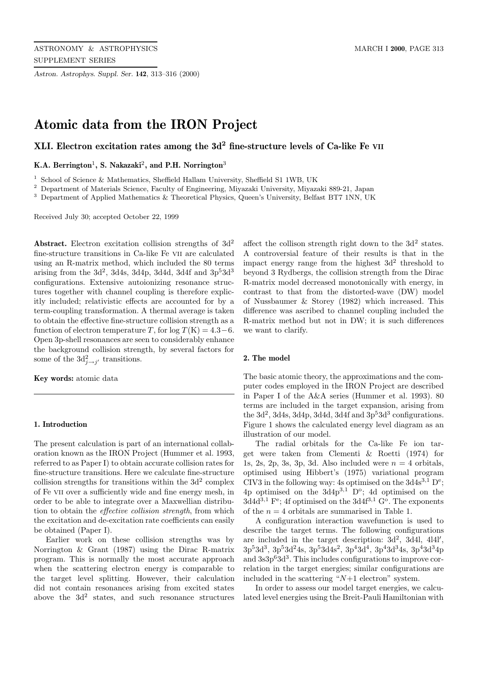*Astron. Astrophys. Suppl. Ser.* **142**, 313–316 (2000)

# **Atomic data from the IRON Project**

# **XLI. Electron excitation rates among the 3d<sup>2</sup> fine-structure levels of Ca-like Fe VII**

**K.A. Berrington**<sup>1</sup>**, S. Nakazaki**<sup>2</sup>**, and P.H. Norrington**<sup>3</sup>

<sup>1</sup> School of Science & Mathematics, Sheffield Hallam University, Sheffield S1 1WB, UK

<sup>2</sup> Department of Materials Science, Faculty of Engineering, Miyazaki University, Miyazaki 889-21, Japan

<sup>3</sup> Department of Applied Mathematics & Theoretical Physics, Queen's University, Belfast BT7 1NN, UK

Received July 30; accepted October 22, 1999

Abstract. Electron excitation collision strengths of  $3d<sup>2</sup>$ fine-structure transitions in Ca-like Fe vii are calculated using an R-matrix method, which included the 80 terms arising from the  $3d^2$ ,  $3d4s$ ,  $3d4p$ ,  $3d4d$ ,  $3d4f$  and  $3p^53d^3$ configurations. Extensive autoionizing resonance structures together with channel coupling is therefore explicitly included; relativistic effects are accounted for by a term-coupling transformation. A thermal average is taken to obtain the effective fine-structure collision strength as a function of electron temperature T, for  $log T(K) = 4.3-6$ . Open 3p-shell resonances are seen to considerably enhance the background collision strength, by several factors for some of the  $3d_{j\rightarrow j'}^2$  transitions.

**Key words:** atomic data

## **1. Introduction**

The present calculation is part of an international collaboration known as the IRON Project (Hummer et al. 1993, referred to as Paper I) to obtain accurate collision rates for fine-structure transitions. Here we calculate fine-structure collision strengths for transitions within the  $3d^2$  complex of Fe vii over a sufficiently wide and fine energy mesh, in order to be able to integrate over a Maxwellian distribution to obtain the effective collision strength, from which the excitation and de-excitation rate coefficients can easily be obtained (Paper I).

Earlier work on these collision strengths was by Norrington & Grant (1987) using the Dirac R-matrix program. This is normally the most accurate approach when the scattering electron energy is comparable to the target level splitting. However, their calculation did not contain resonances arising from excited states above the  $3d^2$  states, and such resonance structures affect the collison strength right down to the  $3d<sup>2</sup>$  states. A controversial feature of their results is that in the impact energy range from the highest  $3d^2$  threshold to beyond 3 Rydbergs, the collision strength from the Dirac R-matrix model decreased monotonically with energy, in contrast to that from the distorted-wave (DW) model of Nussbaumer & Storey (1982) which increased. This difference was ascribed to channel coupling included the R-matrix method but not in DW; it is such differences we want to clarify.

#### **2. The model**

The basic atomic theory, the approximations and the computer codes employed in the IRON Project are described in Paper I of the A&A series (Hummer et al. 1993). 80 terms are included in the target expansion, arising from the  $3d^2$ ,  $3d4s$ ,  $3d4p$ ,  $3d4d$ ,  $3d4f$  and  $3p^53d^3$  configurations. Figure 1 shows the calculated energy level diagram as an illustration of our model.

The radial orbitals for the Ca-like Fe ion target were taken from Clementi & Roetti (1974) for 1s, 2s, 2p, 3s, 3p, 3d. Also included were  $n = 4$  orbitals, optimised using Hibbert's (1975) variational program CIV3 in the following way: 4s optimised on the  $3d4s^{3,1}$  D<sup>e</sup>; 4p optimised on the  $3d4p^{3,1}$  D<sup>o</sup>; 4d optimised on the  $3d4d^{3,1}$  F<sup>e</sup>; 4f optimised on the  $3d4f^{3,1}$  G<sup>o</sup>. The exponents of the  $n = 4$  orbitals are summarised in Table 1.

A configuration interaction wavefunction is used to describe the target terms. The following configurations are included in the target description:  $3d^2$ ,  $3d4l$ ,  $4l4l'$ ,  $3p^53d^3$ ,  $3p^53d^24s$ ,  $3p^53d^4s^2$ ,  $3p^43d^4$ ,  $3p^43d^34s$ ,  $3p^43d^34p$ and  $3s3p<sup>6</sup>3d<sup>3</sup>$ . This includes configurations to improve correlation in the target energies; similar configurations are included in the scattering " $N+1$  electron" system.

In order to assess our model target energies, we calculated level energies using the Breit-Pauli Hamiltonian with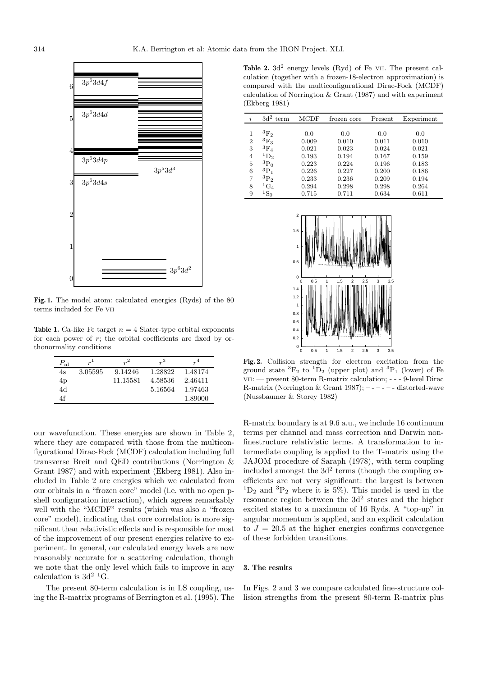

**Fig. 1.** The model atom: calculated energies (Ryds) of the 80 terms included for Fe vii

**Table 1.** Ca-like Fe target  $n = 4$  Slater-type orbital exponents for each power of  $r$ ; the orbital coefficients are fixed by orthonormality conditions

| $P_{\rm nl}$ | $r^{1}$ | $r^2$    | r <sup>3</sup> | $r^4$   |
|--------------|---------|----------|----------------|---------|
| 4s           | 3.05595 | 9.14246  | 1.28822        | 1.48174 |
| 4p           |         | 11.15581 | 4.58536        | 2.46411 |
| 4d           |         |          | 5.16564        | 1.97463 |
| 4f           |         |          |                | 1.89000 |

our wavefunction. These energies are shown in Table 2, where they are compared with those from the multiconfigurational Dirac-Fock (MCDF) calculation including full transverse Breit and QED contributions (Norrington & Grant 1987) and with experiment (Ekberg 1981). Also included in Table 2 are energies which we calculated from our orbitals in a "frozen core" model (i.e. with no open pshell configuration interaction), which agrees remarkably well with the "MCDF" results (which was also a "frozen core" model), indicating that core correlation is more significant than relativistic effects and is responsible for most of the improvement of our present energies relative to experiment. In general, our calculated energy levels are now reasonably accurate for a scattering calculation, though we note that the only level which fails to improve in any calculation is  $3d^2$  <sup>1</sup>G.

The present 80-term calculation is in LS coupling, using the R-matrix programs of Berrington et al. (1995). The

**Table 2.** 3d<sup>2</sup> energy levels (Ryd) of Fe VII. The present calculation (together with a frozen-18-electron approximation) is compared with the multiconfigurational Dirac-Fock (MCDF) calculation of Norrington & Grant (1987) and with experiment (Ekberg 1981)

| i              | 3d <sup>2</sup><br>term | <b>MCDF</b> | frozen core | Present | Experiment |  |
|----------------|-------------------------|-------------|-------------|---------|------------|--|
|                |                         |             |             |         |            |  |
| 1              | ${}^3\mathrm{F}_2$      | 0.0         | 0.0         | 0.0     | 0.0        |  |
| $\overline{2}$ | $^{3}F_{3}$             | 0.009       | 0.010       | 0.011   | 0.010      |  |
| 3              | ${}^3\mathrm{F}_4$      | 0.021       | 0.023       | 0.024   | 0.021      |  |
| $\overline{4}$ | ${}^1D_2$               | 0.193       | 0.194       | 0.167   | 0.159      |  |
| 5              | ${}^{3}P_0$             | 0.223       | 0.224       | 0.196   | 0.183      |  |
| 6              | ${}^3P_1$               | 0.226       | 0.227       | 0.200   | 0.186      |  |
| 7              | ${}^{3}P_{2}$           | 0.233       | 0.236       | 0.209   | 0.194      |  |
| 8              | ${}^1\text{G}_4$        | 0.294       | 0.298       | 0.298   | 0.264      |  |
| 9              | $^{1}{\rm S}_{0}$       | 0.715       | 0.711       | 0.634   | 0.611      |  |



**Fig. 2.** Collision strength for electron excitation from the ground state  ${}^{3}F_{2}$  to  ${}^{1}D_{2}$  (upper plot) and  ${}^{3}P_{1}$  (lower) of Fe vii: — present 80-term R-matrix calculation; - - - 9-level Dirac R-matrix (Norrington & Grant 1987);  $---$  -  $---$  distorted-wave (Nussbaumer & Storey 1982)

R-matrix boundary is at 9.6 a.u., we include 16 continuum terms per channel and mass correction and Darwin nonfinestructure relativistic terms. A transformation to intermediate coupling is applied to the T-matrix using the JAJOM procedure of Saraph (1978), with term coupling included amongst the  $3d^2$  terms (though the coupling coefficients are not very significant: the largest is between  ${}^{1}D_{2}$  and  ${}^{3}P_{2}$  where it is 5%). This model is used in the resonance region between the  $3d^2$  states and the higher excited states to a maximum of 16 Ryds. A "top-up" in angular momentum is applied, and an explicit calculation to  $J = 20.5$  at the higher energies confirms convergence of these forbidden transitions.

## **3. The results**

In Figs. 2 and 3 we compare calculated fine-structure collision strengths from the present 80-term R-matrix plus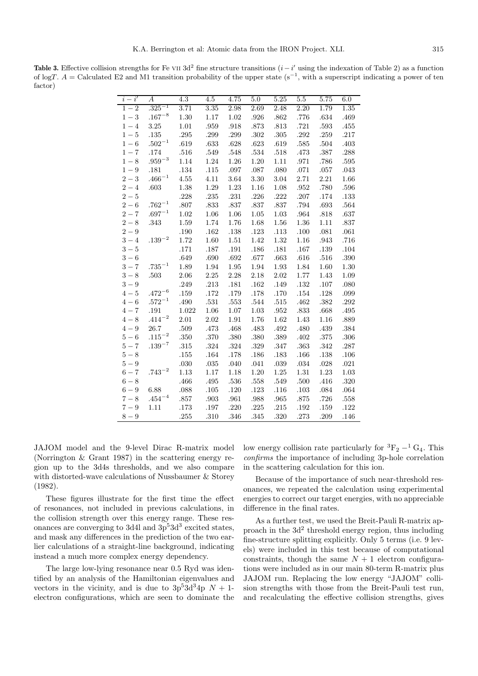**Table 3.** Effective collision strengths for Fe vii 3d<sup>2</sup> fine structure transitions  $(i - i')$  using the indexation of Table 2) as a function of logT. A = Calculated E2 and M1 transition probability of the upper state  $(s^{-1}, \text{ with a superscript indicating a power of ten})$ factor)

| $i-i'$  | $\boldsymbol{A}$ | 4.3      | $4.5\,$  | 4.75     | 5.0      | 5.25     | 5.5      | 5.75     | 6.0  |
|---------|------------------|----------|----------|----------|----------|----------|----------|----------|------|
| $1 - 2$ | $.325^{-1}$      | 3.71     | 3.35     | 2.98     | 2.69     | 2.48     | 2.20     | 1.79     | 1.35 |
| $1 - 3$ | $.167^{-8}$      | 1.30     | 1.17     | 1.02     | .926     | .862     | .776     | .634     | .469 |
| $1 - 4$ | 3.25             | 1.01     | .959     | .918     | .873     | .813     | $.721\,$ | .593     | .455 |
| $1 - 5$ | .135             | .295     | .299     | .299     | .302     | .305     | .292     | .259     | .217 |
| $1-6$   | $.502^{-1}$      | .619     | .633     | .628     | .623     | .619     | .585     | .504     | .403 |
| $1 - 7$ | .174             | .516     | .549     | .548     | .534     | .518     | .473     | .387     | .288 |
| $1 - 8$ | $.959^{-3}$      | 1.14     | 1.24     | 1.26     | 1.20     | 1.11     | .971     | .786     | .595 |
| $1 - 9$ | .181             | $.134\,$ | $.115\,$ | $.097\,$ | .087     | .080     | $.071\,$ | $.057\,$ | .043 |
| $2 - 3$ | $.466^{-1}$      | 4.55     | 4.11     | 3.64     | 3.30     | 3.04     | 2.71     | 2.21     | 1.66 |
| $2 - 4$ | .603             | 1.38     | 1.29     | 1.23     | 1.16     | 1.08     | .952     | .780     | .596 |
| $2 - 5$ |                  | .228     | .235     | .231     | .226     | .222     | $.207$   | .174     | .133 |
| $2 - 6$ | $.762^{-1}$      | .807     | .833     | .837     | .837     | .837     | .794     | .693     | .564 |
| $2 - 7$ | $.697^{-1}$      | 1.02     | 1.06     | 1.06     | 1.05     | 1.03     | .964     | .818     | .637 |
| $2 - 8$ | .343             | 1.59     | 1.74     | 1.76     | 1.68     | 1.56     | 1.36     | 1.11     | .837 |
| $2 - 9$ |                  | .190     | .162     | .138     | $.123\,$ | $.113\,$ | .100     | .081     | .061 |
| $3 - 4$ | $.139^{-2}$      | 1.72     | 1.60     | 1.51     | 1.42     | 1.32     | 1.16     | .943     | .716 |
| $3 - 5$ |                  | .171     | .187     | .191     | .186     | .181     | .167     | .139     | .104 |
| $3-6$   |                  | .649     | .690     | .692     | .677     | .663     | .616     | .516     | .390 |
| $3 - 7$ | $.735^{-1}$      | 1.89     | 1.94     | 1.95     | 1.94     | 1.93     | 1.84     | 1.60     | 1.30 |
| $3 - 8$ | .503             | 2.06     | 2.25     | 2.28     | 2.18     | 2.02     | 1.77     | 1.43     | 1.09 |
| $3 - 9$ |                  | .249     | .213     | .181     | .162     | .149     | .132     | $.107$   | .080 |
| $4-5$   | $.472^{-6}$      | $.159\,$ | .172     | .179     | .178     | $.170\,$ | $.154\,$ | .128     | .099 |
| $4-6$   | $.572^{-1}$      | .490     | .531     | .553     | .544     | $.515\,$ | .462     | .382     | .292 |
| $4 - 7$ | $.191\,$         | 1.022    | 1.06     | 1.07     | 1.03     | .952     | .833     | .668     | .495 |
| $4 - 8$ | $.414^{-2}$      | 2.01     | 2.02     | 1.91     | 1.76     | 1.62     | 1.43     | 1.16     | .889 |
| $4-9$   | 26.7             | .509     | .473     | .468     | .483     | .492     | .480     | .439     | .384 |
| $5-6$   | $\cdot115^{-2}$  | .350     | .370     | .380     | .380     | .389     | .402     | .375     | .306 |
| $5 - 7$ | $.139^{-7}$      | .315     | .324     | .324     | .329     | .347     | .363     | .342     | .287 |
| $5-8$   |                  | .155     | .164     | .178     | .186     | .183     | .166     | .138     | .106 |
| $5-9$   |                  | .030     | .035     | .040     | .041     | .039     | .034     | .028     | .021 |
| $6 - 7$ | $.743^{-2}$      | 1.13     | 1.17     | 1.18     | 1.20     | 1.25     | 1.31     | 1.23     | 1.03 |
| $6 - 8$ |                  | .466     | .495     | .536     | .558     | .549     | .500     | .416     | .320 |
| $6 - 9$ | 6.88             | .088     | .105     | .120     | .123     | .116     | .103     | $.084$   | .064 |
| $7 - 8$ | $.454^{-4}$      | .857     | .903     | .961     | .988     | .965     | .875     | .726     | .558 |
| $7 - 9$ | 1.11             | .173     | .197     | .220     | .225     | .215     | .192     | .159     | .122 |
| $8-9$   |                  | .255     | .310     | .346     | .345     | .320     | .273     | .209     | .146 |

JAJOM model and the 9-level Dirac R-matrix model (Norrington & Grant 1987) in the scattering energy region up to the 3d4s thresholds, and we also compare with distorted-wave calculations of Nussbaumer & Storey (1982).

These figures illustrate for the first time the effect of resonances, not included in previous calculations, in the collision strength over this energy range. These resonances are converging to 3d4l and  $3p<sup>5</sup>3d<sup>3</sup>$  excited states, and mask any differences in the prediction of the two earlier calculations of a straight-line background, indicating instead a much more complex energy dependency.

The large low-lying resonance near 0.5 Ryd was identified by an analysis of the Hamiltonian eigenvalues and vectors in the vicinity, and is due to  $3p^53d^34p$  N + 1electron configurations, which are seen to dominate the low energy collision rate particularly for  ${}^{3}F_{2} - {}^{1}G_{4}$ . This confirms the importance of including 3p-hole correlation in the scattering calculation for this ion.

Because of the importance of such near-threshold resonances, we repeated the calculation using experimental energies to correct our target energies, with no appreciable difference in the final rates.

As a further test, we used the Breit-Pauli R-matrix approach in the  $3d^2$  threshold energy region, thus including fine-structure splitting explicitly. Only 5 terms (i.e. 9 levels) were included in this test because of computational constraints, though the same  $N + 1$  electron configurations were included as in our main 80-term R-matrix plus JAJOM run. Replacing the low energy "JAJOM" collision strengths with those from the Breit-Pauli test run, and recalculating the effective collision strengths, gives